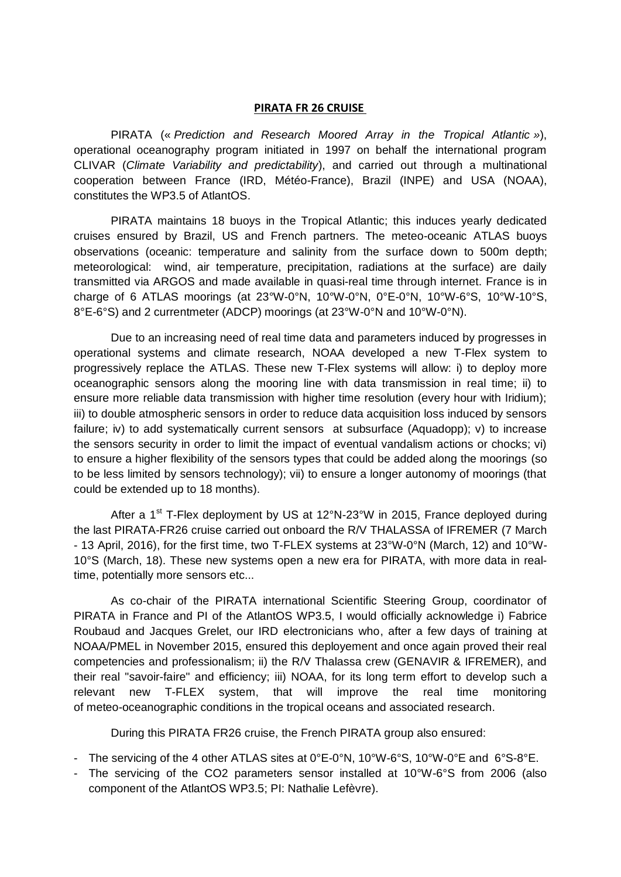## **PIRATA FR 26 CRUISE**

PIRATA (« *Prediction and Research Moored Array in the Tropical Atlantic »*), operational oceanography program initiated in 1997 on behalf the international program CLIVAR (*Climate Variability and predictability*), and carried out through a multinational cooperation between France (IRD, Météo-France), Brazil (INPE) and USA (NOAA), constitutes the WP3.5 of AtlantOS.

PIRATA maintains 18 buoys in the Tropical Atlantic; this induces yearly dedicated cruises ensured by Brazil, US and French partners. The meteo-oceanic ATLAS buoys observations (oceanic: temperature and salinity from the surface down to 500m depth; meteorological: wind, air temperature, precipitation, radiations at the surface) are daily transmitted via ARGOS and made available in quasi-real time through internet. France is in charge of 6 ATLAS moorings (at 23°W-0°N, 10°W-0°N, 0°E-0°N, 10°W-6°S, 10°W-10°S, 8°E-6°S) and 2 currentmeter (ADCP) moorings (at 23°W-0°N and 10°W-0°N).

Due to an increasing need of real time data and parameters induced by progresses in operational systems and climate research, NOAA developed a new T-Flex system to progressively replace the ATLAS. These new T-Flex systems will allow: i) to deploy more oceanographic sensors along the mooring line with data transmission in real time; ii) to ensure more reliable data transmission with higher time resolution (every hour with Iridium); iii) to double atmospheric sensors in order to reduce data acquisition loss induced by sensors failure; iv) to add systematically current sensors at subsurface (Aquadopp); v) to increase the sensors security in order to limit the impact of eventual vandalism actions or chocks; vi) to ensure a higher flexibility of the sensors types that could be added along the moorings (so to be less limited by sensors technology); vii) to ensure a longer autonomy of moorings (that could be extended up to 18 months).

After a 1<sup>st</sup> T-Flex deployment by US at 12°N-23°W in 2015, France deployed during the last PIRATA-FR26 cruise carried out onboard the R/V THALASSA of IFREMER (7 March - 13 April, 2016), for the first time, two T-FLEX systems at 23°W-0°N (March, 12) and 10°W-10°S (March, 18). These new systems open a new era for PIRATA, with more data in realtime, potentially more sensors etc...

As co-chair of the PIRATA international Scientific Steering Group, coordinator of PIRATA in France and PI of the AtlantOS WP3.5, I would officially acknowledge i) Fabrice Roubaud and Jacques Grelet, our IRD electronicians who, after a few days of training at NOAA/PMEL in November 2015, ensured this deployement and once again proved their real competencies and professionalism; ii) the R/V Thalassa crew (GENAVIR & IFREMER), and their real "savoir-faire" and efficiency; iii) NOAA, for its long term effort to develop such a relevant new T-FLEX system, that will improve the real time monitoring of meteo-oceanographic conditions in the tropical oceans and associated research.

During this PIRATA FR26 cruise, the French PIRATA group also ensured:

- The servicing of the 4 other ATLAS sites at 0°E-0°N, 10°W-6°S, 10°W-0°E and 6°S-8°E.
- The servicing of the CO2 parameters sensor installed at 10°W-6°S from 2006 (also component of the AtlantOS WP3.5; PI: Nathalie Lefèvre).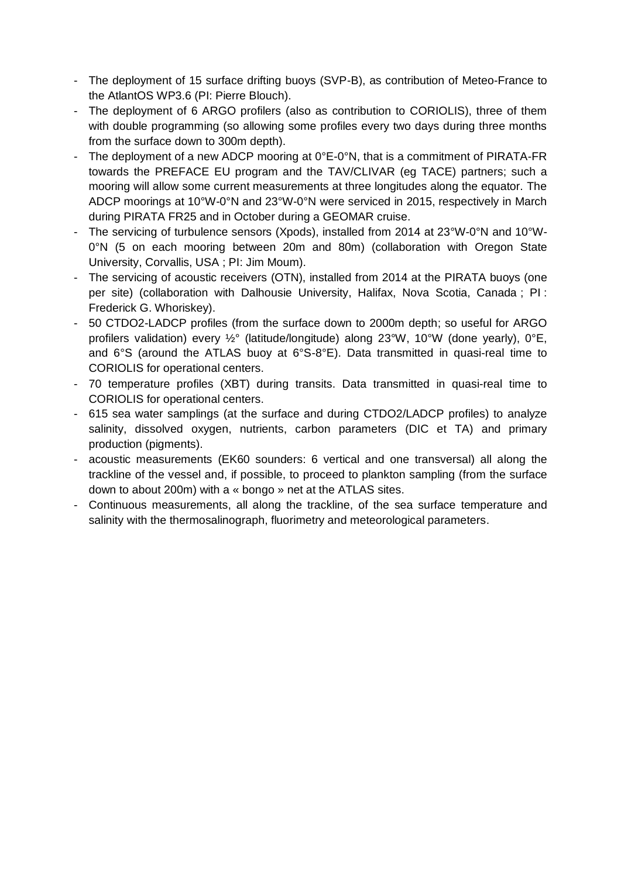- The deployment of 15 surface drifting buoys (SVP-B), as contribution of Meteo-France to the AtlantOS WP3.6 (PI: Pierre Blouch).
- The deployment of 6 ARGO profilers (also as contribution to CORIOLIS), three of them with double programming (so allowing some profiles every two days during three months from the surface down to 300m depth).
- The deployment of a new ADCP mooring at  $0^{\circ}E$ -0°N, that is a commitment of PIRATA-FR towards the PREFACE EU program and the TAV/CLIVAR (eg TACE) partners; such a mooring will allow some current measurements at three longitudes along the equator. The ADCP moorings at 10°W-0°N and 23°W-0°N were serviced in 2015, respectively in March during PIRATA FR25 and in October during a GEOMAR cruise.
- The servicing of turbulence sensors (Xpods), installed from 2014 at 23°W-0°N and 10°W-0°N (5 on each mooring between 20m and 80m) (collaboration with Oregon State University, Corvallis, USA ; PI: Jim Moum).
- The servicing of acoustic receivers (OTN), installed from 2014 at the PIRATA buoys (one per site) (collaboration with Dalhousie University, Halifax, Nova Scotia, Canada ; PI : Frederick G. Whoriskey).
- 50 CTDO2-LADCP profiles (from the surface down to 2000m depth; so useful for ARGO profilers validation) every ½° (latitude/longitude) along 23°W, 10°W (done yearly), 0°E, and 6°S (around the ATLAS buoy at 6°S-8°E). Data transmitted in quasi-real time to CORIOLIS for operational centers.
- 70 temperature profiles (XBT) during transits. Data transmitted in quasi-real time to CORIOLIS for operational centers.
- 615 sea water samplings (at the surface and during CTDO2/LADCP profiles) to analyze salinity, dissolved oxygen, nutrients, carbon parameters (DIC et TA) and primary production (pigments).
- acoustic measurements (EK60 sounders: 6 vertical and one transversal) all along the trackline of the vessel and, if possible, to proceed to plankton sampling (from the surface down to about 200m) with a « bongo » net at the ATLAS sites.
- Continuous measurements, all along the trackline, of the sea surface temperature and salinity with the thermosalinograph, fluorimetry and meteorological parameters.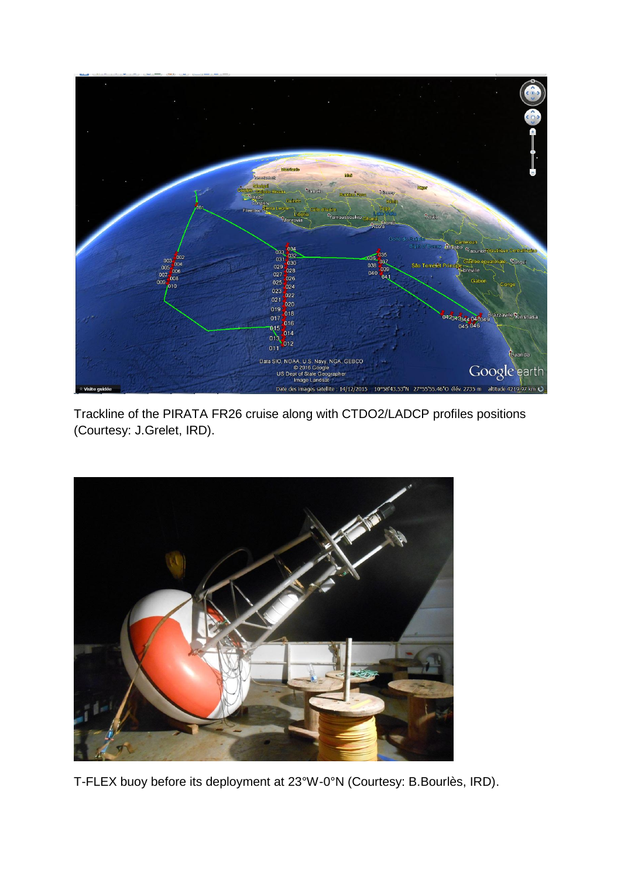

Trackline of the PIRATA FR26 cruise along with CTDO2/LADCP profiles positions (Courtesy: J.Grelet, IRD).



T-FLEX buoy before its deployment at 23°W-0°N (Courtesy: B.Bourlès, IRD).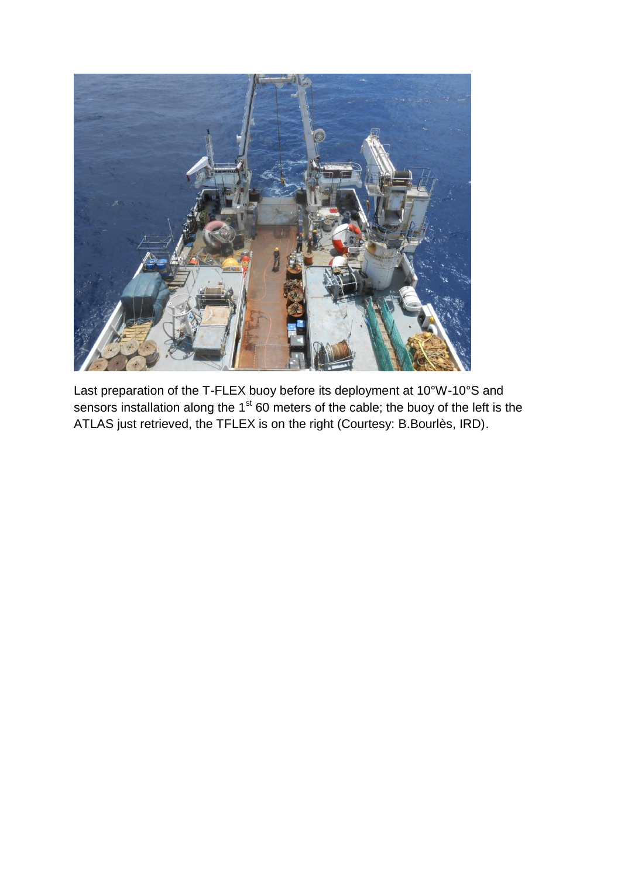

Last preparation of the T-FLEX buoy before its deployment at 10°W-10°S and sensors installation along the 1<sup>st</sup> 60 meters of the cable; the buoy of the left is the ATLAS just retrieved, the TFLEX is on the right (Courtesy: B.Bourlès, IRD).